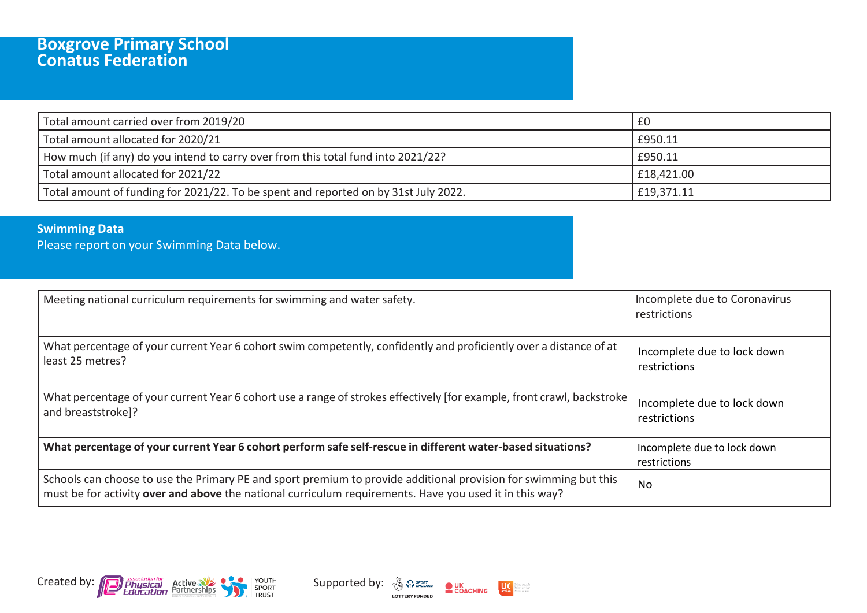## **Boxgrove Primary School Conatus Federation**

| Total amount carried over from 2019/20                                              | £0         |
|-------------------------------------------------------------------------------------|------------|
| Total amount allocated for 2020/21                                                  | £950.11    |
| How much (if any) do you intend to carry over from this total fund into 2021/22?    | £950.11    |
| Total amount allocated for 2021/22                                                  | £18,421.00 |
| Total amount of funding for 2021/22. To be spent and reported on by 31st July 2022. | £19,371.11 |

## **Swimming Data**

Please report on your Swimming Data below.

| Meeting national curriculum requirements for swimming and water safety.                                                                                                                                                     | Incomplete due to Coronavirus<br><b>Irestrictions</b> |
|-----------------------------------------------------------------------------------------------------------------------------------------------------------------------------------------------------------------------------|-------------------------------------------------------|
| What percentage of your current Year 6 cohort swim competently, confidently and proficiently over a distance of at<br>least 25 metres?                                                                                      | Incomplete due to lock down<br>restrictions           |
| What percentage of your current Year 6 cohort use a range of strokes effectively [for example, front crawl, backstroke<br>and breaststroke]?                                                                                | Incomplete due to lock down<br>restrictions           |
| What percentage of your current Year 6 cohort perform safe self-rescue in different water-based situations?                                                                                                                 | Incomplete due to lock down<br>restrictions           |
| Schools can choose to use the Primary PE and sport premium to provide additional provision for swimming but this<br>must be for activity over and above the national curriculum requirements. Have you used it in this way? | No                                                    |





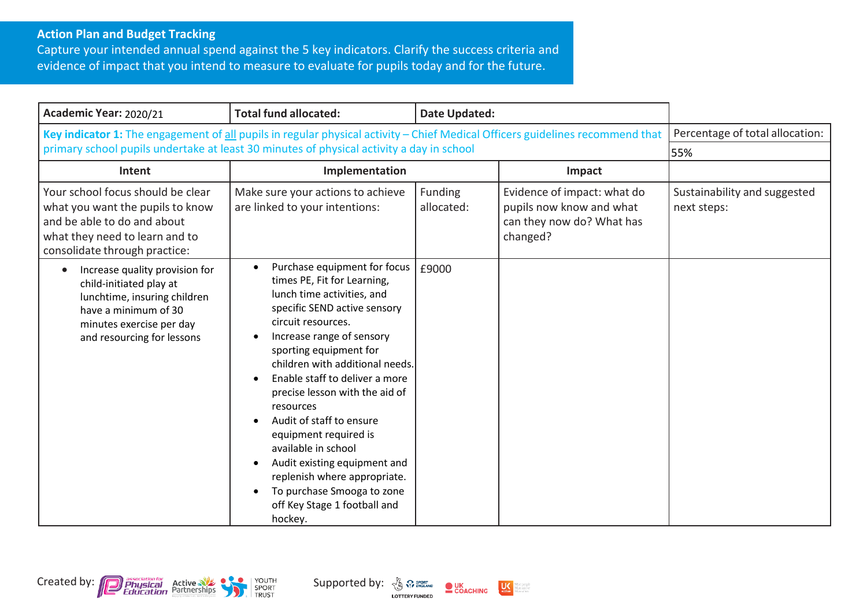## **Action Plan and Budget Tracking**

Capture your intended annual spend against the 5 key indicators. Clarify the success criteria and evidence of impact that you intend to measure to evaluate for pupils today and for the future.

| Academic Year: 2020/21                                                                                                                                                                                                    | <b>Total fund allocated:</b>                                                                                                                                                                                                                                                                                                                                                                                                                                                                                                                                                                        | <b>Date Updated:</b>  |                                                                                                  |                                             |
|---------------------------------------------------------------------------------------------------------------------------------------------------------------------------------------------------------------------------|-----------------------------------------------------------------------------------------------------------------------------------------------------------------------------------------------------------------------------------------------------------------------------------------------------------------------------------------------------------------------------------------------------------------------------------------------------------------------------------------------------------------------------------------------------------------------------------------------------|-----------------------|--------------------------------------------------------------------------------------------------|---------------------------------------------|
| Key indicator 1: The engagement of all pupils in regular physical activity - Chief Medical Officers guidelines recommend that<br>primary school pupils undertake at least 30 minutes of physical activity a day in school |                                                                                                                                                                                                                                                                                                                                                                                                                                                                                                                                                                                                     |                       |                                                                                                  | Percentage of total allocation:<br>55%      |
| Intent                                                                                                                                                                                                                    | Implementation                                                                                                                                                                                                                                                                                                                                                                                                                                                                                                                                                                                      |                       | Impact                                                                                           |                                             |
| Your school focus should be clear<br>what you want the pupils to know<br>and be able to do and about<br>what they need to learn and to<br>consolidate through practice:                                                   | Make sure your actions to achieve<br>are linked to your intentions:                                                                                                                                                                                                                                                                                                                                                                                                                                                                                                                                 | Funding<br>allocated: | Evidence of impact: what do<br>pupils now know and what<br>can they now do? What has<br>changed? | Sustainability and suggested<br>next steps: |
| Increase quality provision for<br>child-initiated play at<br>lunchtime, insuring children<br>have a minimum of 30<br>minutes exercise per day<br>and resourcing for lessons                                               | Purchase equipment for focus<br>$\bullet$<br>times PE, Fit for Learning,<br>lunch time activities, and<br>specific SEND active sensory<br>circuit resources.<br>Increase range of sensory<br>$\bullet$<br>sporting equipment for<br>children with additional needs.<br>Enable staff to deliver a more<br>precise lesson with the aid of<br>resources<br>Audit of staff to ensure<br>equipment required is<br>available in school<br>Audit existing equipment and<br>$\bullet$<br>replenish where appropriate.<br>To purchase Smooga to zone<br>$\bullet$<br>off Key Stage 1 football and<br>hockey. | £9000                 |                                                                                                  |                                             |





darepeople<br>dareactive<br>dareaften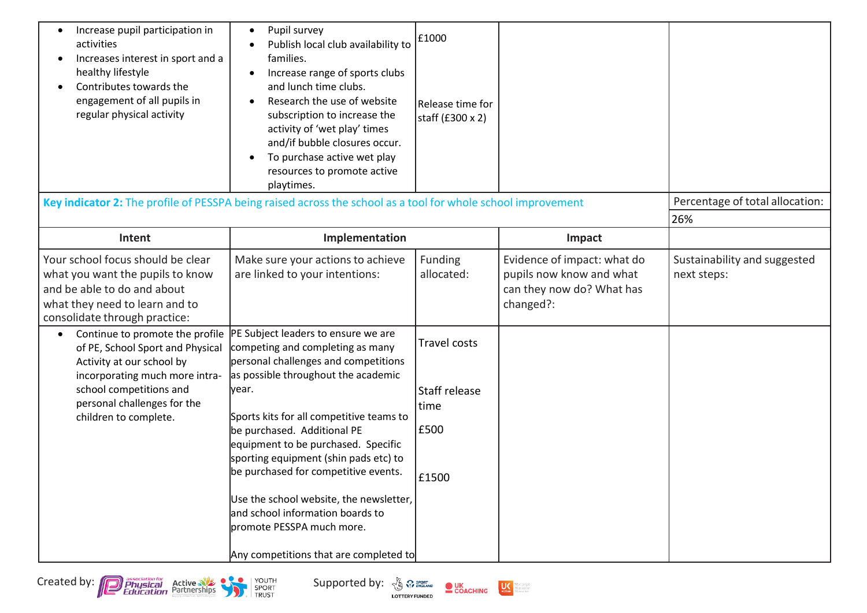| Increase pupil participation in<br>activities<br>Increases interest in sport and a<br>healthy lifestyle<br>Contributes towards the<br>engagement of all pupils in<br>regular physical activity | Pupil survey<br>$\bullet$<br>Publish local club availability to<br>families.<br>Increase range of sports clubs<br>and lunch time clubs.<br>Research the use of website<br>subscription to increase the<br>activity of 'wet play' times<br>and/if bubble closures occur.<br>To purchase active wet play<br>resources to promote active<br>playtimes.                                                                                                                                                                                                       | £1000<br>Release time for<br>staff (£300 x 2)                 |                                                                                                   |                                             |
|------------------------------------------------------------------------------------------------------------------------------------------------------------------------------------------------|-----------------------------------------------------------------------------------------------------------------------------------------------------------------------------------------------------------------------------------------------------------------------------------------------------------------------------------------------------------------------------------------------------------------------------------------------------------------------------------------------------------------------------------------------------------|---------------------------------------------------------------|---------------------------------------------------------------------------------------------------|---------------------------------------------|
| Key indicator 2: The profile of PESSPA being raised across the school as a tool for whole school improvement                                                                                   |                                                                                                                                                                                                                                                                                                                                                                                                                                                                                                                                                           |                                                               |                                                                                                   | Percentage of total allocation:             |
|                                                                                                                                                                                                |                                                                                                                                                                                                                                                                                                                                                                                                                                                                                                                                                           |                                                               |                                                                                                   | 26%                                         |
| Intent                                                                                                                                                                                         | Implementation                                                                                                                                                                                                                                                                                                                                                                                                                                                                                                                                            |                                                               | Impact                                                                                            |                                             |
| Your school focus should be clear<br>what you want the pupils to know<br>and be able to do and about<br>what they need to learn and to<br>consolidate through practice:                        | Make sure your actions to achieve<br>are linked to your intentions:                                                                                                                                                                                                                                                                                                                                                                                                                                                                                       | Funding<br>allocated:                                         | Evidence of impact: what do<br>pupils now know and what<br>can they now do? What has<br>changed?: | Sustainability and suggested<br>next steps: |
| of PE, School Sport and Physical<br>Activity at our school by<br>incorporating much more intra-<br>school competitions and<br>personal challenges for the<br>children to complete.             | Continue to promote the profile  PE Subject leaders to ensure we are<br>competing and completing as many<br>personal challenges and competitions<br>as possible throughout the academic<br>year.<br>Sports kits for all competitive teams to<br>be purchased. Additional PE<br>equipment to be purchased. Specific<br>sporting equipment (shin pads etc) to<br>be purchased for competitive events.<br>Use the school website, the newsletter,<br>and school information boards to<br>promote PESSPA much more.<br>Any competitions that are completed to | <b>Travel costs</b><br>Staff release<br>time<br>£500<br>£1500 |                                                                                                   |                                             |





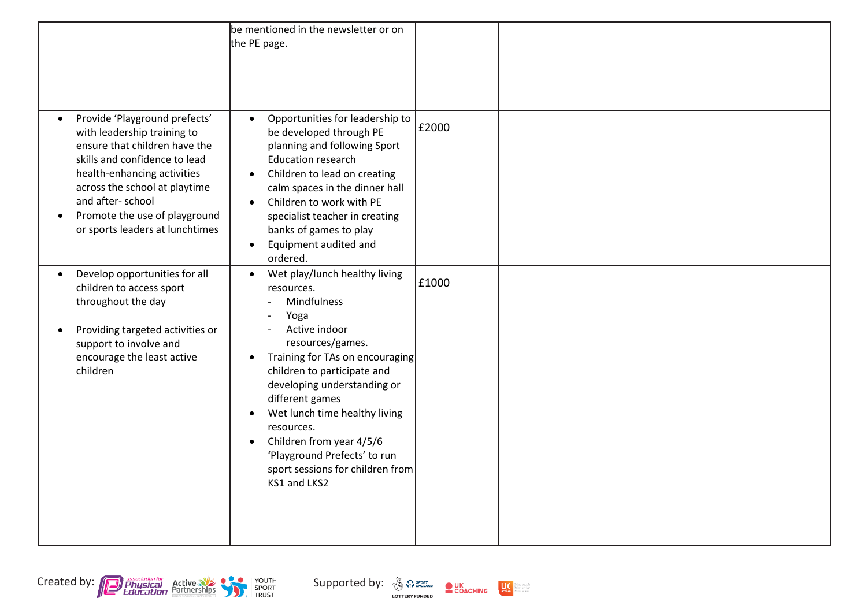|                                                                                                                                                                                                                                                                                                                  | be mentioned in the newsletter or on<br>the PE page.                                                                                                                                                                                                                                                                                                                                                                                           |       |  |
|------------------------------------------------------------------------------------------------------------------------------------------------------------------------------------------------------------------------------------------------------------------------------------------------------------------|------------------------------------------------------------------------------------------------------------------------------------------------------------------------------------------------------------------------------------------------------------------------------------------------------------------------------------------------------------------------------------------------------------------------------------------------|-------|--|
| Provide 'Playground prefects'<br>$\bullet$<br>with leadership training to<br>ensure that children have the<br>skills and confidence to lead<br>health-enhancing activities<br>across the school at playtime<br>and after-school<br>Promote the use of playground<br>$\bullet$<br>or sports leaders at lunchtimes | Opportunities for leadership to<br>$\bullet$<br>be developed through PE<br>planning and following Sport<br><b>Education research</b><br>Children to lead on creating<br>$\bullet$<br>calm spaces in the dinner hall<br>Children to work with PE<br>$\bullet$<br>specialist teacher in creating<br>banks of games to play<br>Equipment audited and<br>$\bullet$<br>ordered.                                                                     | £2000 |  |
| Develop opportunities for all<br>$\bullet$<br>children to access sport<br>throughout the day<br>Providing targeted activities or<br>$\bullet$<br>support to involve and<br>encourage the least active<br>children                                                                                                | Wet play/lunch healthy living<br>$\bullet$<br>resources.<br>Mindfulness<br>Yoga<br>Active indoor<br>resources/games.<br>Training for TAs on encouraging<br>$\bullet$<br>children to participate and<br>developing understanding or<br>different games<br>Wet lunch time healthy living<br>$\bullet$<br>resources.<br>Children from year 4/5/6<br>$\bullet$<br>'Playground Prefects' to run<br>sport sessions for children from<br>KS1 and LKS2 | £1000 |  |



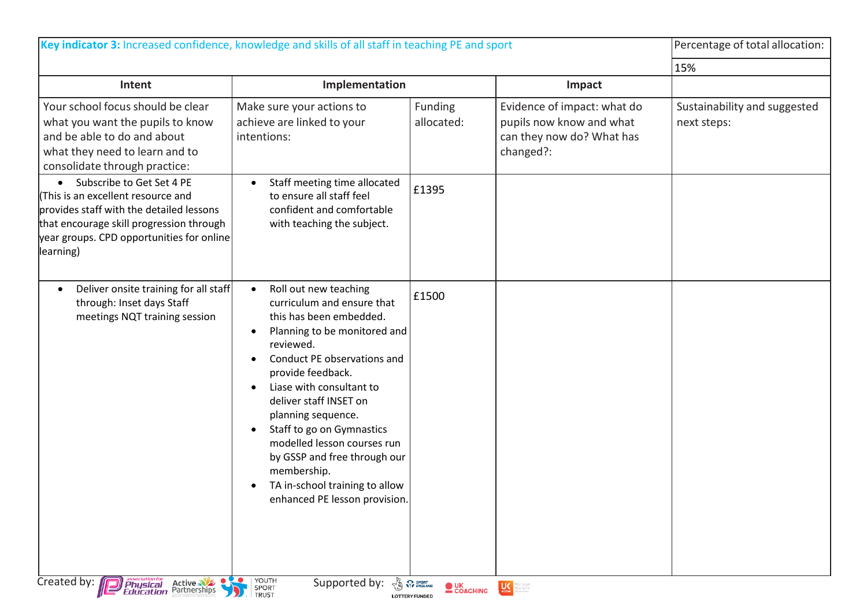|                                                                                                                                                                                                                                | Key indicator 3: Increased confidence, knowledge and skills of all staff in teaching PE and sport                                                                                                                                                                                                                                                                                                                                                                                                          |                       |                                                                                                   | Percentage of total allocation:             |
|--------------------------------------------------------------------------------------------------------------------------------------------------------------------------------------------------------------------------------|------------------------------------------------------------------------------------------------------------------------------------------------------------------------------------------------------------------------------------------------------------------------------------------------------------------------------------------------------------------------------------------------------------------------------------------------------------------------------------------------------------|-----------------------|---------------------------------------------------------------------------------------------------|---------------------------------------------|
|                                                                                                                                                                                                                                |                                                                                                                                                                                                                                                                                                                                                                                                                                                                                                            |                       |                                                                                                   | 15%                                         |
| Intent                                                                                                                                                                                                                         | Implementation                                                                                                                                                                                                                                                                                                                                                                                                                                                                                             |                       | Impact                                                                                            |                                             |
| Your school focus should be clear<br>what you want the pupils to know<br>and be able to do and about<br>what they need to learn and to<br>consolidate through practice:                                                        | Make sure your actions to<br>achieve are linked to your<br>intentions:                                                                                                                                                                                                                                                                                                                                                                                                                                     | Funding<br>allocated: | Evidence of impact: what do<br>pupils now know and what<br>can they now do? What has<br>changed?: | Sustainability and suggested<br>next steps: |
| Subscribe to Get Set 4 PE<br>$\bullet$<br>(This is an excellent resource and<br>provides staff with the detailed lessons<br>that encourage skill progression through<br>year groups. CPD opportunities for online<br>learning) | Staff meeting time allocated<br>to ensure all staff feel<br>confident and comfortable<br>with teaching the subject.                                                                                                                                                                                                                                                                                                                                                                                        | £1395                 |                                                                                                   |                                             |
| Deliver onsite training for all staff<br>$\bullet$<br>through: Inset days Staff<br>meetings NQT training session                                                                                                               | Roll out new teaching<br>$\bullet$<br>curriculum and ensure that<br>this has been embedded.<br>Planning to be monitored and<br>$\bullet$<br>reviewed.<br>Conduct PE observations and<br>$\bullet$<br>provide feedback.<br>Liase with consultant to<br>$\bullet$<br>deliver staff INSET on<br>planning sequence.<br>Staff to go on Gymnastics<br>$\bullet$<br>modelled lesson courses run<br>by GSSP and free through our<br>membership.<br>TA in-school training to allow<br>enhanced PE lesson provision. | £1500                 |                                                                                                   |                                             |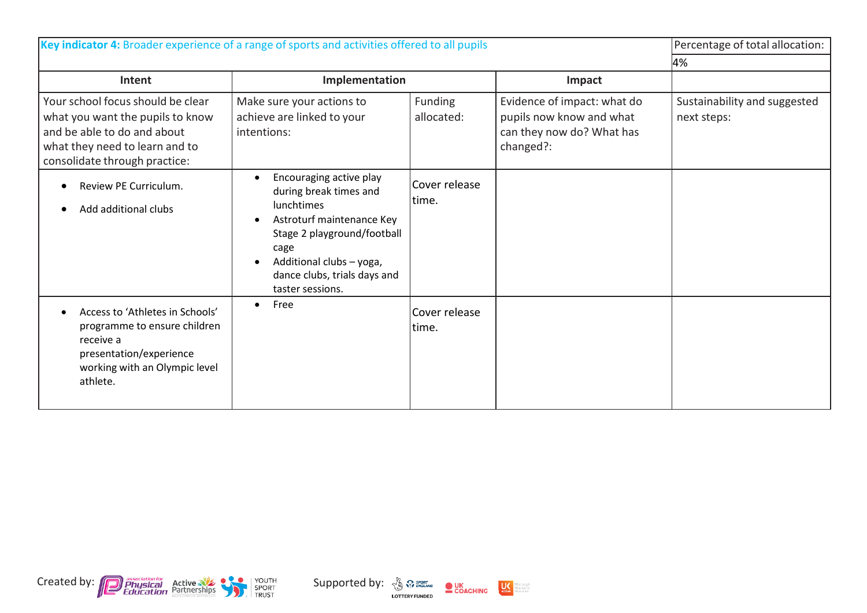| Key indicator 4: Broader experience of a range of sports and activities offered to all pupils                                                                           |                                                                                                                                                                                                                            |                         |                                                                                                   | Percentage of total allocation:             |
|-------------------------------------------------------------------------------------------------------------------------------------------------------------------------|----------------------------------------------------------------------------------------------------------------------------------------------------------------------------------------------------------------------------|-------------------------|---------------------------------------------------------------------------------------------------|---------------------------------------------|
|                                                                                                                                                                         |                                                                                                                                                                                                                            |                         |                                                                                                   | 4%                                          |
| Intent                                                                                                                                                                  | Implementation                                                                                                                                                                                                             |                         | Impact                                                                                            |                                             |
| Your school focus should be clear<br>what you want the pupils to know<br>and be able to do and about<br>what they need to learn and to<br>consolidate through practice: | Make sure your actions to<br>achieve are linked to your<br>intentions:                                                                                                                                                     | Funding<br>allocated:   | Evidence of impact: what do<br>pupils now know and what<br>can they now do? What has<br>changed?: | Sustainability and suggested<br>next steps: |
| Review PE Curriculum.<br>Add additional clubs                                                                                                                           | Encouraging active play<br>during break times and<br><b>lunchtimes</b><br>Astroturf maintenance Key<br>Stage 2 playground/football<br>cage<br>Additional clubs - yoga,<br>dance clubs, trials days and<br>taster sessions. | Cover release<br>time.  |                                                                                                   |                                             |
| Access to 'Athletes in Schools'<br>programme to ensure children<br>receive a<br>presentation/experience<br>working with an Olympic level<br>athlete.                    | Free<br>$\bullet$                                                                                                                                                                                                          | Cover release<br>ltime. |                                                                                                   |                                             |